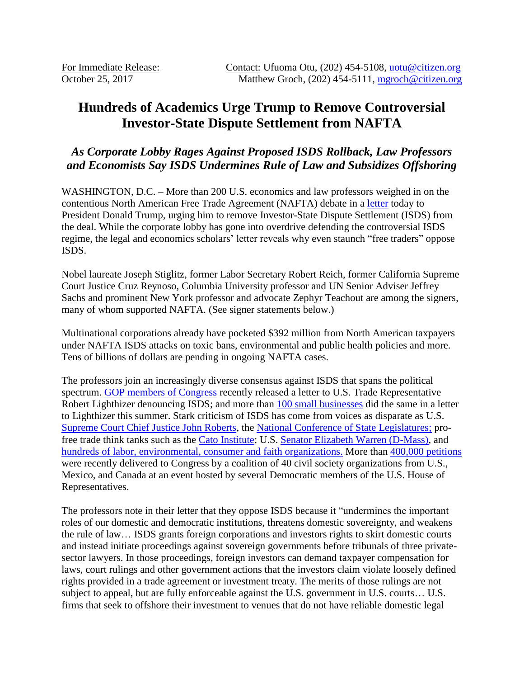# **Hundreds of Academics Urge Trump to Remove Controversial Investor-State Dispute Settlement from NAFTA**

## *As Corporate Lobby Rages Against Proposed ISDS Rollback, Law Professors and Economists Say ISDS Undermines Rule of Law and Subsidizes Offshoring*

WASHINGTON, D.C. – More than 200 U.S. economics and law professors weighed in on the contentious North American Free Trade Agreement (NAFTA) debate in a [letter](https://www.citizen.org/system/files/case_documents/isds-law-economics-professors-letter-oct-2017_2.pdf) today to President Donald Trump, urging him to remove Investor-State Dispute Settlement (ISDS) from the deal. While the corporate lobby has gone into overdrive defending the controversial ISDS regime, the legal and economics scholars' letter reveals why even staunch "free traders" oppose ISDS.

Nobel laureate Joseph Stiglitz, former Labor Secretary Robert Reich, former California Supreme Court Justice Cruz Reynoso, Columbia University professor and UN Senior Adviser Jeffrey Sachs and prominent New York professor and advocate Zephyr Teachout are among the signers, many of whom supported NAFTA. (See signer statements below.)

Multinational corporations already have pocketed \$392 million from North American taxpayers under NAFTA ISDS attacks on toxic bans, environmental and public health policies and more. Tens of billions of dollars are pending in ongoing NAFTA cases.

The professors join an increasingly diverse consensus against ISDS that spans the political spectrum. [GOP members of Congress](https://www.citizen.org/system/files/case_documents/gop-on-isds.pdf) recently released a letter to U.S. Trade Representative Robert Lighthizer denouncing ISDS; and more than [100 small businesses](https://www.citizen.org/system/files/case_documents/small_business_letter.pdf) did the same in a letter to Lighthizer this summer. Stark criticism of ISDS has come from voices as disparate as U.S. [Supreme Court Chief Justice John Roberts,](https://www.supremecourt.gov/opinions/13pdf/12-138_97be.pdf) the [National Conference of State Legislatures;](http://www.ncsl.org/ncsl-in-dc/task-forces/policies-labor-and-economic-development.aspx#Trade) profree trade think tanks such as the [Cato Institute;](http://www.cato.org/publications/free-trade-bulletin/compromise-advance-trade-agenda-purge-negotiations-investor-state) U.S. [Senator Elizabeth Warren](https://www.washingtonpost.com/opinions/kill-the-dispute-settlement-language-in-the-trans-pacific-partnership/2015/02/25/ec7705a2-bd1e-11e4-b274-e5209a3bc9a9_story.html?utm_term=.47af96643032) (D-Mass), and [hundreds of labor, environmental, consumer and faith organizations.](http://www.citizenstrade.org/ctc/blog/2016/01/07/1500-groups-urge-congress-to-oppose-the-tpp/) More than [400,000 petitions](https://www.citizen.org/system/files/case_documents/isds-petition-release-10112017.pdf) were recently delivered to Congress by a coalition of 40 civil society organizations from U.S., Mexico, and Canada at an event hosted by several Democratic members of the U.S. House of Representatives.

The professors note in their letter that they oppose ISDS because it "undermines the important roles of our domestic and democratic institutions, threatens domestic sovereignty, and weakens the rule of law… ISDS grants foreign corporations and investors rights to skirt domestic courts and instead initiate proceedings against sovereign governments before tribunals of three privatesector lawyers. In those proceedings, foreign investors can demand taxpayer compensation for laws, court rulings and other government actions that the investors claim violate loosely defined rights provided in a trade agreement or investment treaty. The merits of those rulings are not subject to appeal, but are fully enforceable against the U.S. government in U.S. courts… U.S. firms that seek to offshore their investment to venues that do not have reliable domestic legal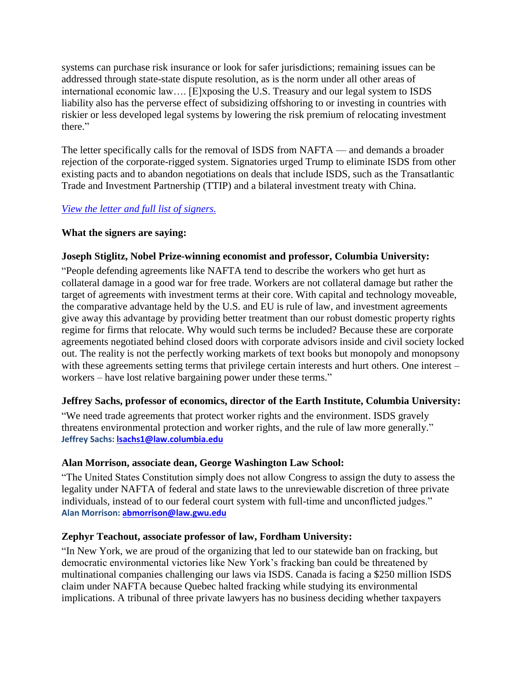systems can purchase risk insurance or look for safer jurisdictions; remaining issues can be addressed through state-state dispute resolution, as is the norm under all other areas of international economic law…. [E]xposing the U.S. Treasury and our legal system to ISDS liability also has the perverse effect of subsidizing offshoring to or investing in countries with riskier or less developed legal systems by lowering the risk premium of relocating investment there."

The letter specifically calls for the removal of ISDS from NAFTA — and demands a broader rejection of the corporate-rigged system. Signatories urged Trump to eliminate ISDS from other existing pacts and to abandon negotiations on deals that include ISDS, such as the Transatlantic Trade and Investment Partnership (TTIP) and a bilateral investment treaty with China.

## *[View the letter and full list of signers.](https://www.citizen.org/system/files/case_documents/isds-law-economics-professors-letter-oct-2017_2.pdf)*

## **What the signers are saying:**

## **Joseph Stiglitz, Nobel Prize-winning economist and professor, Columbia University:**

"People defending agreements like NAFTA tend to describe the workers who get hurt as collateral damage in a good war for free trade. Workers are not collateral damage but rather the target of agreements with investment terms at their core. With capital and technology moveable, the comparative advantage held by the U.S. and EU is rule of law, and investment agreements give away this advantage by providing better treatment than our robust domestic property rights regime for firms that relocate. Why would such terms be included? Because these are corporate agreements negotiated behind closed doors with corporate advisors inside and civil society locked out. The reality is not the perfectly working markets of text books but monopoly and monopsony with these agreements setting terms that privilege certain interests and hurt others. One interest – workers – have lost relative bargaining power under these terms."

## **Jeffrey Sachs, professor of economics, director of the Earth Institute, Columbia University:**

"We need trade agreements that protect worker rights and the environment. ISDS gravely threatens environmental protection and worker rights, and the rule of law more generally." **Jeffrey Sachs: [lsachs1@law.columbia.edu](mailto:lsachs1@law.columbia.edu)**

#### **Alan Morrison, associate dean, George Washington Law School:**

"The United States Constitution simply does not allow Congress to assign the duty to assess the legality under NAFTA of federal and state laws to the unreviewable discretion of three private individuals, instead of to our federal court system with full-time and unconflicted judges." **Alan Morrison: [abmorrison@law.gwu.edu](mailto:abmorrison@law.gwu.edu)**

## **Zephyr Teachout, associate professor of law, Fordham University:**

"In New York, we are proud of the organizing that led to our statewide ban on fracking, but democratic environmental victories like New York's fracking ban could be threatened by multinational companies challenging our laws via ISDS. Canada is facing a \$250 million ISDS claim under NAFTA because Quebec halted fracking while studying its environmental implications. A tribunal of three private lawyers has no business deciding whether taxpayers